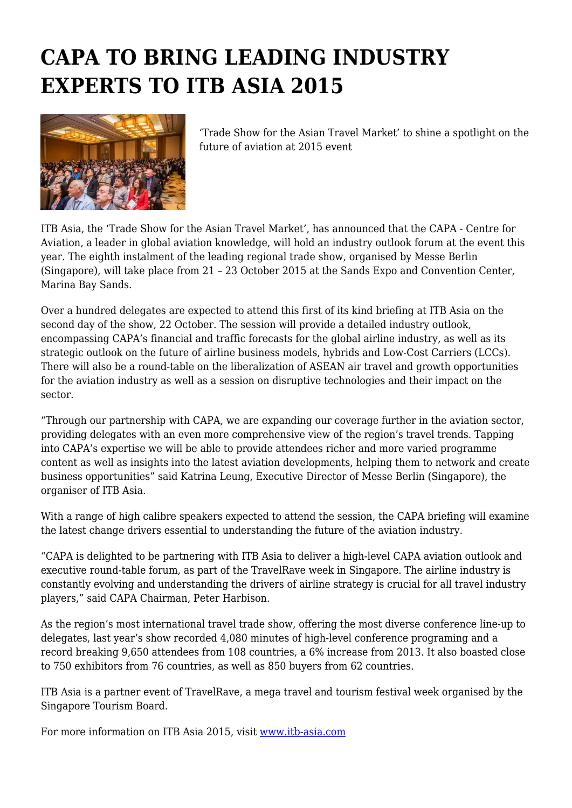# **CAPA TO BRING LEADING INDUSTRY EXPERTS TO ITB ASIA 2015**



'Trade Show for the Asian Travel Market' to shine a spotlight on the future of aviation at 2015 event

ITB Asia, the 'Trade Show for the Asian Travel Market', has announced that the CAPA - Centre for Aviation, a leader in global aviation knowledge, will hold an industry outlook forum at the event this year. The eighth instalment of the leading regional trade show, organised by Messe Berlin (Singapore), will take place from 21 – 23 October 2015 at the Sands Expo and Convention Center, Marina Bay Sands.

Over a hundred delegates are expected to attend this first of its kind briefing at ITB Asia on the second day of the show, 22 October. The session will provide a detailed industry outlook, encompassing CAPA's financial and traffic forecasts for the global airline industry, as well as its strategic outlook on the future of airline business models, hybrids and Low-Cost Carriers (LCCs). There will also be a round-table on the liberalization of ASEAN air travel and growth opportunities for the aviation industry as well as a session on disruptive technologies and their impact on the sector.

"Through our partnership with CAPA, we are expanding our coverage further in the aviation sector, providing delegates with an even more comprehensive view of the region's travel trends. Tapping into CAPA's expertise we will be able to provide attendees richer and more varied programme content as well as insights into the latest aviation developments, helping them to network and create business opportunities" said Katrina Leung, Executive Director of Messe Berlin (Singapore), the organiser of ITB Asia.

With a range of high calibre speakers expected to attend the session, the CAPA briefing will examine the latest change drivers essential to understanding the future of the aviation industry.

"CAPA is delighted to be partnering with ITB Asia to deliver a high-level CAPA aviation outlook and executive round-table forum, as part of the TravelRave week in Singapore. The airline industry is constantly evolving and understanding the drivers of airline strategy is crucial for all travel industry players," said CAPA Chairman, Peter Harbison.

As the region's most international travel trade show, offering the most diverse conference line-up to delegates, last year's show recorded 4,080 minutes of high-level conference programing and a record breaking 9,650 attendees from 108 countries, a 6% increase from 2013. It also boasted close to 750 exhibitors from 76 countries, as well as 850 buyers from 62 countries.

ITB Asia is a partner event of TravelRave, a mega travel and tourism festival week organised by the Singapore Tourism Board.

For more information on ITB Asia 2015, visit [www.itb-asia.com](http://www.itb-asia.com/)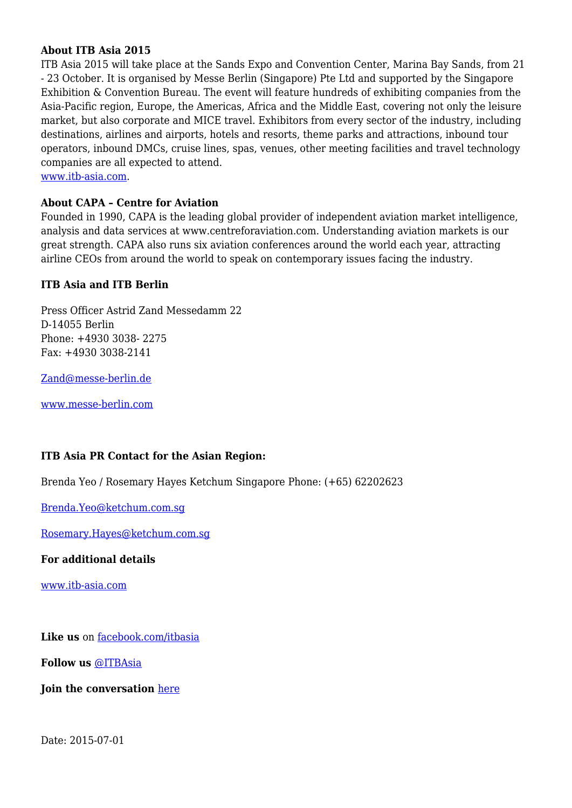# **About ITB Asia 2015**

ITB Asia 2015 will take place at the Sands Expo and Convention Center, Marina Bay Sands, from 21 - 23 October. It is organised by Messe Berlin (Singapore) Pte Ltd and supported by the Singapore Exhibition & Convention Bureau. The event will feature hundreds of exhibiting companies from the Asia-Pacific region, Europe, the Americas, Africa and the Middle East, covering not only the leisure market, but also corporate and MICE travel. Exhibitors from every sector of the industry, including destinations, airlines and airports, hotels and resorts, theme parks and attractions, inbound tour operators, inbound DMCs, cruise lines, spas, venues, other meeting facilities and travel technology companies are all expected to attend.

[www.itb-asia.com.](http://www.itb-asia.com/)

### **About CAPA – Centre for Aviation**

Founded in 1990, CAPA is the leading global provider of independent aviation market intelligence, analysis and data services at www.centreforaviation.com. Understanding aviation markets is our great strength. CAPA also runs six aviation conferences around the world each year, attracting airline CEOs from around the world to speak on contemporary issues facing the industry.

## **ITB Asia and ITB Berlin**

Press Officer Astrid Zand Messedamm 22 D-14055 Berlin Phone: +4930 3038- 2275 Fax: +4930 3038-2141

[Zand@messe-berlin.de](mailto:Zand@messe-berlin.de)

[www.messe-berlin.com](http://www.messe-berlin.com/)

## **ITB Asia PR Contact for the Asian Region:**

Brenda Yeo / Rosemary Hayes Ketchum Singapore Phone: (+65) 62202623

[Brenda.Yeo@ketchum.com.sg](mailto:Yeo@ketchum.com.sg)

[Rosemary.Hayes@ketchum.com.sg](mailto:Rosemary.Hayes@ke%20tchum.com.sg)

**For additional details**

[www.itb-asia.com](http://www.itb-asia.com/)

Like us on [facebook.com/itbasia](http://www.facebook.com/itbasia)

**Follow us** [@ITBAsia](http://twitter.com/itbasia)

**Join the conversation** [here](https://www.linkedin.com/groups/ITB-Asia-6790731)

Date: 2015-07-01